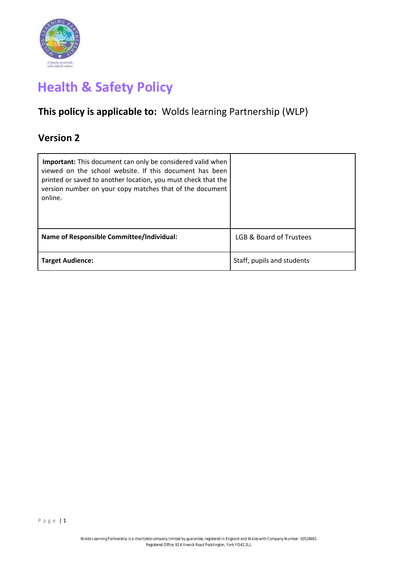

# **Health & Safety Policy**

## **This policy is applicable to:** Wolds learning Partnership (WLP)

## **Version 2**

| Important: This document can only be considered valid when<br>viewed on the school website. If this document has been<br>printed or saved to another location, you must check that the<br>version number on your copy matches that of the document<br>online. |                            |
|---------------------------------------------------------------------------------------------------------------------------------------------------------------------------------------------------------------------------------------------------------------|----------------------------|
| <b>Name of Responsible Committee/Individual:</b>                                                                                                                                                                                                              | LGB & Board of Trustees    |
| <b>Target Audience:</b>                                                                                                                                                                                                                                       | Staff, pupils and students |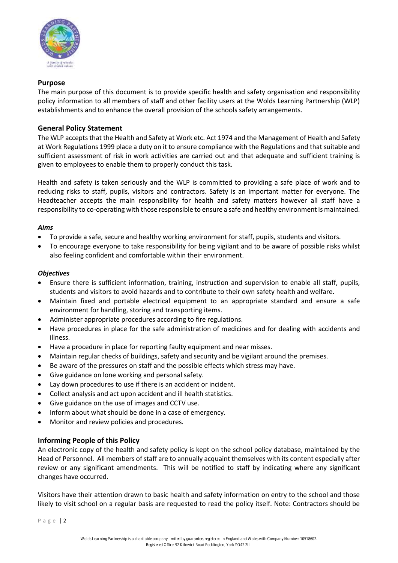

## **Purpose**

The main purpose of this document is to provide specific health and safety organisation and responsibility policy information to all members of staff and other facility users at the Wolds Learning Partnership (WLP) establishments and to enhance the overall provision of the schools safety arrangements.

## **General Policy Statement**

The WLP accepts that the Health and Safety at Work etc. Act 1974 and the Management of Health and Safety at Work Regulations 1999 place a duty on it to ensure compliance with the Regulations and that suitable and sufficient assessment of risk in work activities are carried out and that adequate and sufficient training is given to employees to enable them to properly conduct this task.

Health and safety is taken seriously and the WLP is committed to providing a safe place of work and to reducing risks to staff, pupils, visitors and contractors. Safety is an important matter for everyone. The Headteacher accepts the main responsibility for health and safety matters however all staff have a responsibility to co-operating with those responsible to ensure a safe and healthy environment is maintained.

## *Aims*

- To provide a safe, secure and healthy working environment for staff, pupils, students and visitors.
- To encourage everyone to take responsibility for being vigilant and to be aware of possible risks whilst also feeling confident and comfortable within their environment.

## *Objectives*

- Ensure there is sufficient information, training, instruction and supervision to enable all staff, pupils, students and visitors to avoid hazards and to contribute to their own safety health and welfare.
- Maintain fixed and portable electrical equipment to an appropriate standard and ensure a safe environment for handling, storing and transporting items.
- Administer appropriate procedures according to fire regulations.
- Have procedures in place for the safe administration of medicines and for dealing with accidents and illness.
- Have a procedure in place for reporting faulty equipment and near misses.
- Maintain regular checks of buildings, safety and security and be vigilant around the premises.
- Be aware of the pressures on staff and the possible effects which stress may have.
- Give guidance on lone working and personal safety.
- Lay down procedures to use if there is an accident or incident.
- Collect analysis and act upon accident and ill health statistics.
- Give guidance on the use of images and CCTV use.
- Inform about what should be done in a case of emergency.
- Monitor and review policies and procedures.

## **Informing People of this Policy**

An electronic copy of the health and safety policy is kept on the school policy database, maintained by the Head of Personnel. All members of staff are to annually acquaint themselves with its content especially after review or any significant amendments. This will be notified to staff by indicating where any significant changes have occurred.

Visitors have their attention drawn to basic health and safety information on entry to the school and those likely to visit school on a regular basis are requested to read the policy itself. Note: Contractors should be

Page 2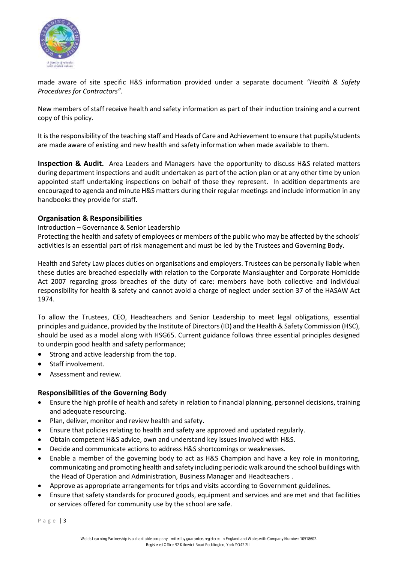

made aware of site specific H&S information provided under a separate document *"Health & Safety Procedures for Contractors".*

New members of staff receive health and safety information as part of their induction training and a current copy of this policy.

It is the responsibility of the teaching staff and Heads of Care and Achievement to ensure that pupils/students are made aware of existing and new health and safety information when made available to them.

**Inspection & Audit.** Area Leaders and Managers have the opportunity to discuss H&S related matters during department inspections and audit undertaken as part of the action plan or at any other time by union appointed staff undertaking inspections on behalf of those they represent. In addition departments are encouraged to agenda and minute H&S matters during their regular meetings and include information in any handbooks they provide for staff.

## **Organisation & Responsibilities**

## Introduction – Governance & Senior Leadership

Protecting the health and safety of employees or members of the public who may be affected by the schools' activities is an essential part of risk management and must be led by the Trustees and Governing Body.

Health and Safety Law places duties on organisations and employers. Trustees can be personally liable when these duties are breached especially with relation to the Corporate Manslaughter and Corporate Homicide Act 2007 regarding gross breaches of the duty of care: members have both collective and individual responsibility for health & safety and cannot avoid a charge of neglect under section 37 of the HASAW Act 1974.

To allow the Trustees, CEO, Headteachers and Senior Leadership to meet legal obligations, essential principles and guidance, provided by the Institute of Directors (ID) and the Health & Safety Commission (HSC), should be used as a model along with HSG65. Current guidance follows three essential principles designed to underpin good health and safety performance;

- Strong and active leadership from the top.
- Staff involvement.
- Assessment and review.

## **Responsibilities of the Governing Body**

- Ensure the high profile of health and safety in relation to financial planning, personnel decisions, training and adequate resourcing.
- Plan, deliver, monitor and review health and safety.
- Ensure that policies relating to health and safety are approved and updated regularly.
- Obtain competent H&S advice, own and understand key issues involved with H&S.
- Decide and communicate actions to address H&S shortcomings or weaknesses.
- Enable a member of the governing body to act as H&S Champion and have a key role in monitoring, communicating and promoting health and safety including periodic walk around the school buildings with the Head of Operation and Administration, Business Manager and Headteachers .
- Approve as appropriate arrangements for trips and visits according to Government guidelines.
- Ensure that safety standards for procured goods, equipment and services and are met and that facilities or services offered for community use by the school are safe.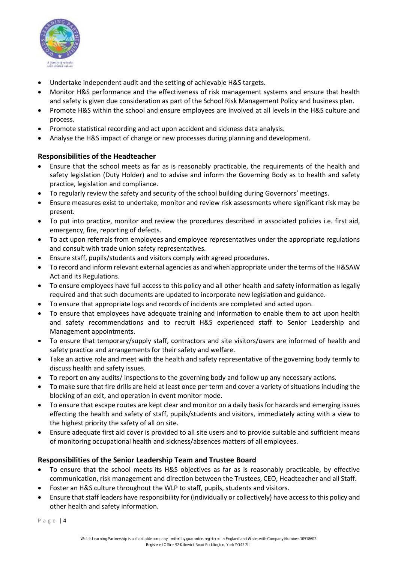

- Undertake independent audit and the setting of achievable H&S targets.
- Monitor H&S performance and the effectiveness of risk management systems and ensure that health and safety is given due consideration as part of the School Risk Management Policy and business plan.
- Promote H&S within the school and ensure employees are involved at all levels in the H&S culture and process.
- Promote statistical recording and act upon accident and sickness data analysis.
- Analyse the H&S impact of change or new processes during planning and development.

## **Responsibilities of the Headteacher**

- Ensure that the school meets as far as is reasonably practicable, the requirements of the health and safety legislation (Duty Holder) and to advise and inform the Governing Body as to health and safety practice, legislation and compliance.
- To regularly review the safety and security of the school building during Governors' meetings.
- Ensure measures exist to undertake, monitor and review risk assessments where significant risk may be present.
- To put into practice, monitor and review the procedures described in associated policies i.e. first aid, emergency, fire, reporting of defects.
- To act upon referrals from employees and employee representatives under the appropriate regulations and consult with trade union safety representatives.
- Ensure staff, pupils/students and visitors comply with agreed procedures.
- To record and inform relevant external agencies as and when appropriate under the terms of the H&SAW Act and its Regulations.
- To ensure employees have full access to this policy and all other health and safety information as legally required and that such documents are updated to incorporate new legislation and guidance.
- To ensure that appropriate logs and records of incidents are completed and acted upon.
- To ensure that employees have adequate training and information to enable them to act upon health and safety recommendations and to recruit H&S experienced staff to Senior Leadership and Management appointments.
- To ensure that temporary/supply staff, contractors and site visitors/users are informed of health and safety practice and arrangements for their safety and welfare.
- Take an active role and meet with the health and safety representative of the governing body termly to discuss health and safety issues.
- To report on any audits/ inspections to the governing body and follow up any necessary actions.
- To make sure that fire drills are held at least once per term and cover a variety of situations including the blocking of an exit, and operation in event monitor mode.
- To ensure that escape routes are kept clear and monitor on a daily basis for hazards and emerging issues effecting the health and safety of staff, pupils/students and visitors, immediately acting with a view to the highest priority the safety of all on site.
- Ensure adequate first aid cover is provided to all site users and to provide suitable and sufficient means of monitoring occupational health and sickness/absences matters of all employees.

## **Responsibilities of the Senior Leadership Team and Trustee Board**

- To ensure that the school meets its H&S objectives as far as is reasonably practicable, by effective communication, risk management and direction between the Trustees, CEO, Headteacher and all Staff.
- Foster an H&S culture throughout the WLP to staff, pupils, students and visitors.
- Ensure that staff leaders have responsibility for (individually or collectively) have access to this policy and other health and safety information.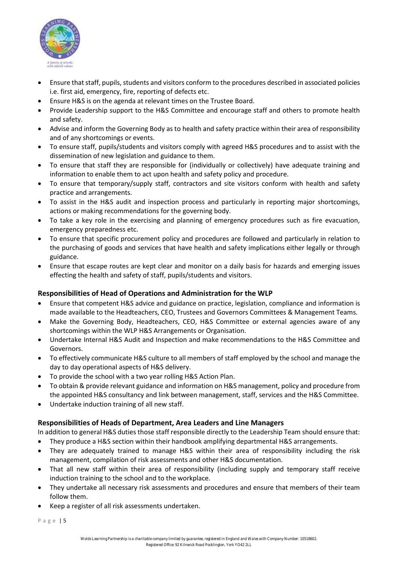

- Ensure that staff, pupils, students and visitors conform to the procedures described in associated policies i.e. first aid, emergency, fire, reporting of defects etc.
- Ensure H&S is on the agenda at relevant times on the Trustee Board.
- Provide Leadership support to the H&S Committee and encourage staff and others to promote health and safety.
- Advise and inform the Governing Body as to health and safety practice within their area of responsibility and of any shortcomings or events.
- To ensure staff, pupils/students and visitors comply with agreed H&S procedures and to assist with the dissemination of new legislation and guidance to them.
- To ensure that staff they are responsible for (individually or collectively) have adequate training and information to enable them to act upon health and safety policy and procedure.
- To ensure that temporary/supply staff, contractors and site visitors conform with health and safety practice and arrangements.
- To assist in the H&S audit and inspection process and particularly in reporting major shortcomings, actions or making recommendations for the governing body.
- To take a key role in the exercising and planning of emergency procedures such as fire evacuation, emergency preparedness etc.
- To ensure that specific procurement policy and procedures are followed and particularly in relation to the purchasing of goods and services that have health and safety implications either legally or through guidance.
- Ensure that escape routes are kept clear and monitor on a daily basis for hazards and emerging issues effecting the health and safety of staff, pupils/students and visitors.

## **Responsibilities of Head of Operations and Administration for the WLP**

- Ensure that competent H&S advice and guidance on practice, legislation, compliance and information is made available to the Headteachers, CEO, Trustees and Governors Committees & Management Teams.
- Make the Governing Body, Headteachers, CEO, H&S Committee or external agencies aware of any shortcomings within the WLP H&S Arrangements or Organisation.
- Undertake Internal H&S Audit and Inspection and make recommendations to the H&S Committee and Governors.
- To effectively communicate H&S culture to all members of staff employed by the school and manage the day to day operational aspects of H&S delivery.
- To provide the school with a two year rolling H&S Action Plan.
- To obtain & provide relevant guidance and information on H&S management, policy and procedure from the appointed H&S consultancy and link between management, staff, services and the H&S Committee.
- Undertake induction training of all new staff.

## **Responsibilities of Heads of Department, Area Leaders and Line Managers**

In addition to general H&S duties those staff responsible directly to the Leadership Team should ensure that:

- They produce a H&S section within their handbook amplifying departmental H&S arrangements.
- They are adequately trained to manage H&S within their area of responsibility including the risk management, compilation of risk assessments and other H&S documentation.
- That all new staff within their area of responsibility (including supply and temporary staff receive induction training to the school and to the workplace.
- They undertake all necessary risk assessments and procedures and ensure that members of their team follow them.
- Keep a register of all risk assessments undertaken.

Page | 5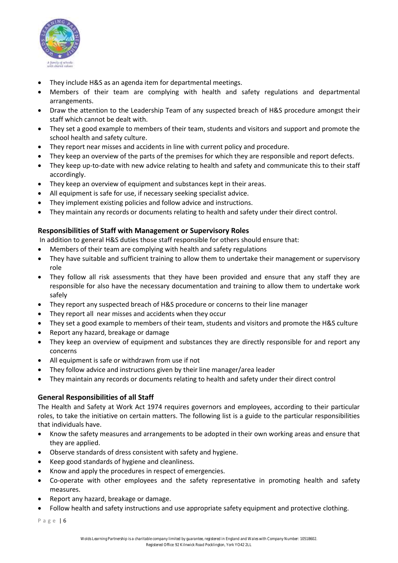

- They include H&S as an agenda item for departmental meetings.
- Members of their team are complying with health and safety regulations and departmental arrangements.
- Draw the attention to the Leadership Team of any suspected breach of H&S procedure amongst their staff which cannot be dealt with.
- They set a good example to members of their team, students and visitors and support and promote the school health and safety culture.
- They report near misses and accidents in line with current policy and procedure.
- They keep an overview of the parts of the premises for which they are responsible and report defects.
- They keep up-to-date with new advice relating to health and safety and communicate this to their staff accordingly.
- They keep an overview of equipment and substances kept in their areas.
- All equipment is safe for use, if necessary seeking specialist advice.
- They implement existing policies and follow advice and instructions.
- They maintain any records or documents relating to health and safety under their direct control.

## **Responsibilities of Staff with Management or Supervisory Roles**

In addition to general H&S duties those staff responsible for others should ensure that:

- Members of their team are complying with health and safety regulations
- They have suitable and sufficient training to allow them to undertake their management or supervisory role
- They follow all risk assessments that they have been provided and ensure that any staff they are responsible for also have the necessary documentation and training to allow them to undertake work safely
- They report any suspected breach of H&S procedure or concerns to their line manager
- They report all near misses and accidents when they occur
- They set a good example to members of their team, students and visitors and promote the H&S culture
- Report any hazard, breakage or damage
- They keep an overview of equipment and substances they are directly responsible for and report any concerns
- All equipment is safe or withdrawn from use if not
- They follow advice and instructions given by their line manager/area leader
- They maintain any records or documents relating to health and safety under their direct control

## **General Responsibilities of all Staff**

The Health and Safety at Work Act 1974 requires governors and employees, according to their particular roles, to take the initiative on certain matters. The following list is a guide to the particular responsibilities that individuals have.

- Know the safety measures and arrangements to be adopted in their own working areas and ensure that they are applied.
- Observe standards of dress consistent with safety and hygiene.
- Keep good standards of hygiene and cleanliness.
- Know and apply the procedures in respect of emergencies.
- Co-operate with other employees and the safety representative in promoting health and safety measures.
- Report any hazard, breakage or damage.
- Follow health and safety instructions and use appropriate safety equipment and protective clothing.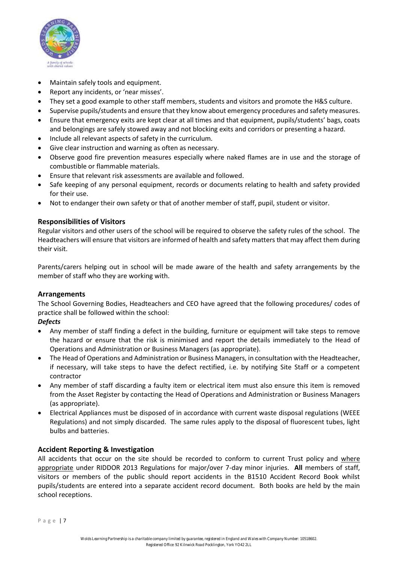

- Maintain safely tools and equipment.
- Report any incidents, or 'near misses'.
- They set a good example to other staff members, students and visitors and promote the H&S culture.
- Supervise pupils/students and ensure that they know about emergency procedures and safety measures.
- Ensure that emergency exits are kept clear at all times and that equipment, pupils/students' bags, coats and belongings are safely stowed away and not blocking exits and corridors or presenting a hazard.
- Include all relevant aspects of safety in the curriculum.
- Give clear instruction and warning as often as necessary.
- Observe good fire prevention measures especially where naked flames are in use and the storage of combustible or flammable materials.
- Ensure that relevant risk assessments are available and followed.
- Safe keeping of any personal equipment, records or documents relating to health and safety provided for their use.
- Not to endanger their own safety or that of another member of staff, pupil, student or visitor.

## **Responsibilities of Visitors**

Regular visitors and other users of the school will be required to observe the safety rules of the school. The Headteachers will ensure that visitors are informed of health and safety matters that may affect them during their visit.

Parents/carers helping out in school will be made aware of the health and safety arrangements by the member of staff who they are working with.

## **Arrangements**

The School Governing Bodies, Headteachers and CEO have agreed that the following procedures/ codes of practice shall be followed within the school:

## *Defects*

- Any member of staff finding a defect in the building, furniture or equipment will take steps to remove the hazard or ensure that the risk is minimised and report the details immediately to the Head of Operations and Administration or Business Managers (as appropriate).
- The Head of Operations and Administration or Business Managers, in consultation with the Headteacher, if necessary, will take steps to have the defect rectified, i.e. by notifying Site Staff or a competent contractor
- Any member of staff discarding a faulty item or electrical item must also ensure this item is removed from the Asset Register by contacting the Head of Operations and Administration or Business Managers (as appropriate).
- Electrical Appliances must be disposed of in accordance with current waste disposal regulations (WEEE Regulations) and not simply discarded. The same rules apply to the disposal of fluorescent tubes, light bulbs and batteries.

## **Accident Reporting & Investigation**

All accidents that occur on the site should be recorded to conform to current Trust policy and where appropriate under RIDDOR 2013 Regulations for major/over 7-day minor injuries. **All** members of staff, visitors or members of the public should report accidents in the B1510 Accident Record Book whilst pupils/students are entered into a separate accident record document. Both books are held by the main school receptions.

Page | 7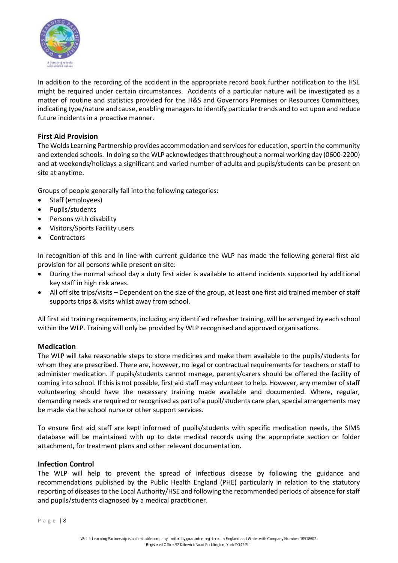

In addition to the recording of the accident in the appropriate record book further notification to the HSE might be required under certain circumstances. Accidents of a particular nature will be investigated as a matter of routine and statistics provided for the H&S and Governors Premises or Resources Committees, indicating type/nature and cause, enabling managers to identify particular trends and to act upon and reduce future incidents in a proactive manner.

## **First Aid Provision**

The Wolds Learning Partnership provides accommodation and services for education, sport in the community and extended schools. In doing so the WLP acknowledges that throughout a normal working day (0600-2200) and at weekends/holidays a significant and varied number of adults and pupils/students can be present on site at anytime.

Groups of people generally fall into the following categories:

- Staff (employees)
- Pupils/students
- Persons with disability
- Visitors/Sports Facility users
- Contractors

In recognition of this and in line with current guidance the WLP has made the following general first aid provision for all persons while present on site:

- During the normal school day a duty first aider is available to attend incidents supported by additional key staff in high risk areas.
- All off site trips/visits Dependent on the size of the group, at least one first aid trained member of staff supports trips & visits whilst away from school.

All first aid training requirements, including any identified refresher training, will be arranged by each school within the WLP. Training will only be provided by WLP recognised and approved organisations.

## **Medication**

The WLP will take reasonable steps to store medicines and make them available to the pupils/students for whom they are prescribed. There are, however, no legal or contractual requirements for teachers or staff to administer medication. If pupils/students cannot manage, parents/carers should be offered the facility of coming into school. If this is not possible, first aid staff may volunteer to help. However, any member of staff volunteering should have the necessary training made available and documented. Where, regular, demanding needs are required or recognised as part of a pupil/students care plan, special arrangements may be made via the school nurse or other support services.

To ensure first aid staff are kept informed of pupils/students with specific medication needs, the SIMS database will be maintained with up to date medical records using the appropriate section or folder attachment, for treatment plans and other relevant documentation.

## **Infection Control**

The WLP will help to prevent the spread of infectious disease by following the guidance and recommendations published by the Public Health England (PHE) particularly in relation to the statutory reporting of diseases to the Local Authority/HSE and following the recommended periods of absence for staff and pupils/students diagnosed by a medical practitioner.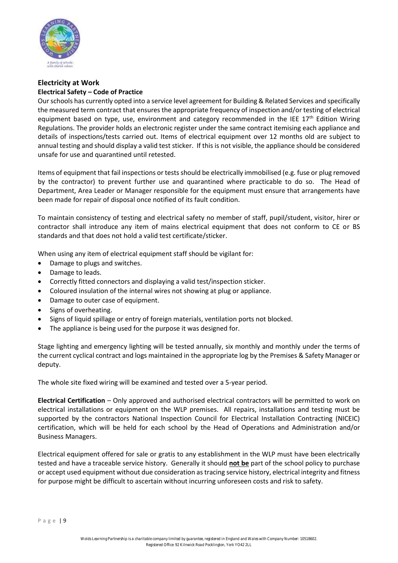

## **Electricity at Work Electrical Safety – Code of Practice**

Our schools has currently opted into a service level agreement for Building & Related Services and specifically the measured term contract that ensures the appropriate frequency of inspection and/or testing of electrical equipment based on type, use, environment and category recommended in the IEE 17<sup>th</sup> Edition Wiring Regulations. The provider holds an electronic register under the same contract itemising each appliance and details of inspections/tests carried out. Items of electrical equipment over 12 months old are subject to annual testing and should display a valid test sticker. If this is not visible, the appliance should be considered unsafe for use and quarantined until retested.

Items of equipment that fail inspections or tests should be electrically immobilised (e.g. fuse or plug removed by the contractor) to prevent further use and quarantined where practicable to do so. The Head of Department, Area Leader or Manager responsible for the equipment must ensure that arrangements have been made for repair of disposal once notified of its fault condition.

To maintain consistency of testing and electrical safety no member of staff, pupil/student, visitor, hirer or contractor shall introduce any item of mains electrical equipment that does not conform to CE or BS standards and that does not hold a valid test certificate/sticker.

When using any item of electrical equipment staff should be vigilant for:

- Damage to plugs and switches.
- Damage to leads.
- Correctly fitted connectors and displaying a valid test/inspection sticker.
- Coloured insulation of the internal wires not showing at plug or appliance.
- Damage to outer case of equipment.
- Signs of overheating.
- Signs of liquid spillage or entry of foreign materials, ventilation ports not blocked.
- The appliance is being used for the purpose it was designed for.

Stage lighting and emergency lighting will be tested annually, six monthly and monthly under the terms of the current cyclical contract and logs maintained in the appropriate log by the Premises & Safety Manager or deputy.

The whole site fixed wiring will be examined and tested over a 5-year period.

**Electrical Certification** – Only approved and authorised electrical contractors will be permitted to work on electrical installations or equipment on the WLP premises. All repairs, installations and testing must be supported by the contractors National Inspection Council for Electrical Installation Contracting (NICEIC) certification, which will be held for each school by the Head of Operations and Administration and/or Business Managers.

Electrical equipment offered for sale or gratis to any establishment in the WLP must have been electrically tested and have a traceable service history. Generally it should **not be** part of the school policy to purchase or accept used equipment without due consideration as tracing service history, electrical integrity and fitness for purpose might be difficult to ascertain without incurring unforeseen costs and risk to safety.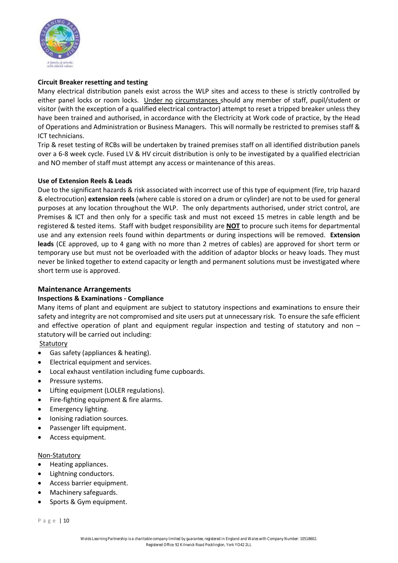

## **Circuit Breaker resetting and testing**

Many electrical distribution panels exist across the WLP sites and access to these is strictly controlled by either panel locks or room locks. Under no circumstances should any member of staff, pupil/student or visitor (with the exception of a qualified electrical contractor) attempt to reset a tripped breaker unless they have been trained and authorised, in accordance with the Electricity at Work code of practice, by the Head of Operations and Administration or Business Managers. This will normally be restricted to premises staff & ICT technicians.

Trip & reset testing of RCBs will be undertaken by trained premises staff on all identified distribution panels over a 6-8 week cycle. Fused LV & HV circuit distribution is only to be investigated by a qualified electrician and NO member of staff must attempt any access or maintenance of this areas.

## **Use of Extension Reels & Leads**

Due to the significant hazards & risk associated with incorrect use of this type of equipment (fire, trip hazard & electrocution) **extension reels** (where cable is stored on a drum or cylinder) are not to be used for general purposes at any location throughout the WLP. The only departments authorised, under strict control, are Premises & ICT and then only for a specific task and must not exceed 15 metres in cable length and be registered & tested items. Staff with budget responsibility are **NOT** to procure such items for departmental use and any extension reels found within departments or during inspections will be removed. **Extension leads** (CE approved, up to 4 gang with no more than 2 metres of cables) are approved for short term or temporary use but must not be overloaded with the addition of adaptor blocks or heavy loads. They must never be linked together to extend capacity or length and permanent solutions must be investigated where short term use is approved.

## **Maintenance Arrangements**

## **Inspections & Examinations - Compliance**

Many items of plant and equipment are subject to statutory inspections and examinations to ensure their safety and integrity are not compromised and site users put at unnecessary risk. To ensure the safe efficient and effective operation of plant and equipment regular inspection and testing of statutory and non – statutory will be carried out including:

**Statutory** 

- Gas safety (appliances & heating).
- Electrical equipment and services.
- Local exhaust ventilation including fume cupboards.
- Pressure systems.
- Lifting equipment (LOLER regulations).
- Fire-fighting equipment & fire alarms.
- Emergency lighting.
- Ionising radiation sources.
- Passenger lift equipment.
- Access equipment.

## Non-Statutory

- Heating appliances.
- Lightning conductors.
- Access barrier equipment.
- Machinery safeguards.
- Sports & Gym equipment.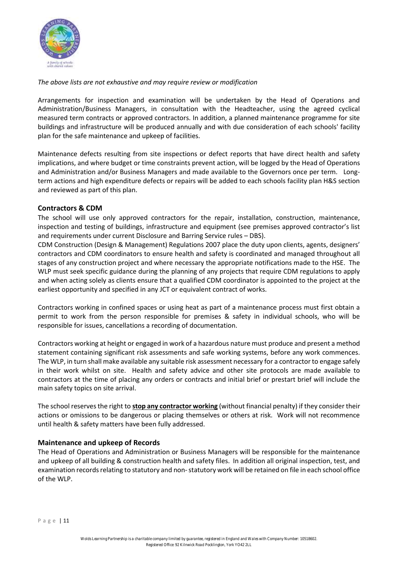

*The above lists are not exhaustive and may require review or modification* 

Arrangements for inspection and examination will be undertaken by the Head of Operations and Administration/Business Managers, in consultation with the Headteacher, using the agreed cyclical measured term contracts or approved contractors. In addition, a planned maintenance programme for site buildings and infrastructure will be produced annually and with due consideration of each schools' facility plan for the safe maintenance and upkeep of facilities.

Maintenance defects resulting from site inspections or defect reports that have direct health and safety implications, and where budget or time constraints prevent action, will be logged by the Head of Operations and Administration and/or Business Managers and made available to the Governors once per term. Longterm actions and high expenditure defects or repairs will be added to each schools facility plan H&S section and reviewed as part of this plan.

## **Contractors & CDM**

The school will use only approved contractors for the repair, installation, construction, maintenance, inspection and testing of buildings, infrastructure and equipment (see premises approved contractor's list and requirements under current Disclosure and Barring Service rules – DBS).

CDM Construction (Design & Management) Regulations 2007 place the duty upon clients, agents, designers' contractors and CDM coordinators to ensure health and safety is coordinated and managed throughout all stages of any construction project and where necessary the appropriate notifications made to the HSE. The WLP must seek specific guidance during the planning of any projects that require CDM regulations to apply and when acting solely as clients ensure that a qualified CDM coordinator is appointed to the project at the earliest opportunity and specified in any JCT or equivalent contract of works.

Contractors working in confined spaces or using heat as part of a maintenance process must first obtain a permit to work from the person responsible for premises & safety in individual schools, who will be responsible for issues, cancellations a recording of documentation.

Contractors working at height or engaged in work of a hazardous nature must produce and present a method statement containing significant risk assessments and safe working systems, before any work commences. The WLP, in turn shall make available any suitable risk assessment necessary for a contractor to engage safely in their work whilst on site. Health and safety advice and other site protocols are made available to contractors at the time of placing any orders or contracts and initial brief or prestart brief will include the main safety topics on site arrival.

The school reserves the right to **stop any contractor working** (without financial penalty) if they consider their actions or omissions to be dangerous or placing themselves or others at risk. Work will not recommence until health & safety matters have been fully addressed.

## **Maintenance and upkeep of Records**

The Head of Operations and Administration or Business Managers will be responsible for the maintenance and upkeep of all building & construction health and safety files. In addition all original inspection, test, and examination records relating to statutory and non-statutory work will be retained on file in each school office of the WLP.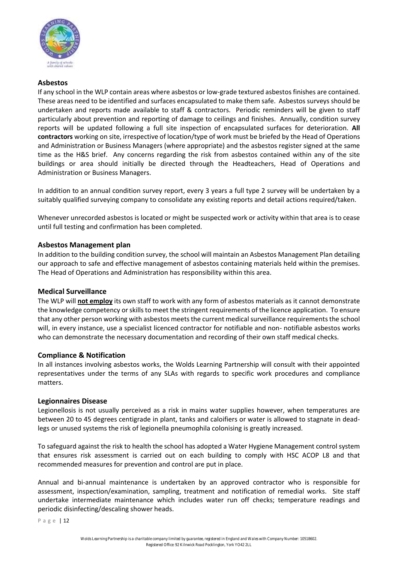

## **Asbestos**

If any school in the WLP contain areas where asbestos or low-grade textured asbestos finishes are contained. These areas need to be identified and surfaces encapsulated to make them safe. Asbestos surveys should be undertaken and reports made available to staff & contractors. Periodic reminders will be given to staff particularly about prevention and reporting of damage to ceilings and finishes. Annually, condition survey reports will be updated following a full site inspection of encapsulated surfaces for deterioration. **All contractors** working on site, irrespective of location/type of work must be briefed by the Head of Operations and Administration or Business Managers (where appropriate) and the asbestos register signed at the same time as the H&S brief. Any concerns regarding the risk from asbestos contained within any of the site buildings or area should initially be directed through the Headteachers, Head of Operations and Administration or Business Managers.

In addition to an annual condition survey report, every 3 years a full type 2 survey will be undertaken by a suitably qualified surveying company to consolidate any existing reports and detail actions required/taken.

Whenever unrecorded asbestos is located or might be suspected work or activity within that area is to cease until full testing and confirmation has been completed.

## **Asbestos Management plan**

In addition to the building condition survey, the school will maintain an Asbestos Management Plan detailing our approach to safe and effective management of asbestos containing materials held within the premises. The Head of Operations and Administration has responsibility within this area.

## **Medical Surveillance**

The WLP will **not employ** its own staff to work with any form of asbestos materials as it cannot demonstrate the knowledge competency or skills to meet the stringent requirements of the licence application. To ensure that any other person working with asbestos meets the current medical surveillance requirements the school will, in every instance, use a specialist licenced contractor for notifiable and non- notifiable asbestos works who can demonstrate the necessary documentation and recording of their own staff medical checks.

## **Compliance & Notification**

In all instances involving asbestos works, the Wolds Learning Partnership will consult with their appointed representatives under the terms of any SLAs with regards to specific work procedures and compliance matters.

## **Legionnaires Disease**

Legionellosis is not usually perceived as a risk in mains water supplies however, when temperatures are between 20 to 45 degrees centigrade in plant, tanks and caloifiers or water is allowed to stagnate in deadlegs or unused systems the risk of legionella pneumophila colonising is greatly increased.

To safeguard against the risk to health the school has adopted a Water Hygiene Management control system that ensures risk assessment is carried out on each building to comply with HSC ACOP L8 and that recommended measures for prevention and control are put in place.

Annual and bi-annual maintenance is undertaken by an approved contractor who is responsible for assessment, inspection/examination, sampling, treatment and notification of remedial works. Site staff undertake intermediate maintenance which includes water run off checks; temperature readings and periodic disinfecting/descaling shower heads.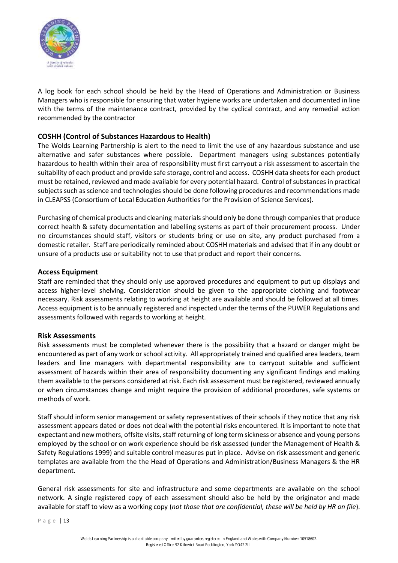

A log book for each school should be held by the Head of Operations and Administration or Business Managers who is responsible for ensuring that water hygiene works are undertaken and documented in line with the terms of the maintenance contract, provided by the cyclical contract, and any remedial action recommended by the contractor

## **COSHH (Control of Substances Hazardous to Health)**

The Wolds Learning Partnership is alert to the need to limit the use of any hazardous substance and use alternative and safer substances where possible. Department managers using substances potentially hazardous to health within their area of responsibility must first carryout a risk assessment to ascertain the suitability of each product and provide safe storage, control and access. COSHH data sheets for each product must be retained, reviewed and made available for every potential hazard. Control of substances in practical subjects such as science and technologies should be done following procedures and recommendations made in CLEAPSS (Consortium of Local Education Authorities for the Provision of Science Services).

Purchasing of chemical products and cleaning materials should only be done through companies that produce correct health & safety documentation and labelling systems as part of their procurement process. Under no circumstances should staff, visitors or students bring or use on site, any product purchased from a domestic retailer. Staff are periodically reminded about COSHH materials and advised that if in any doubt or unsure of a products use or suitability not to use that product and report their concerns.

## **Access Equipment**

Staff are reminded that they should only use approved procedures and equipment to put up displays and access higher-level shelving. Consideration should be given to the appropriate clothing and footwear necessary. Risk assessments relating to working at height are available and should be followed at all times. Access equipment is to be annually registered and inspected under the terms of the PUWER Regulations and assessments followed with regards to working at height.

## **Risk Assessments**

Risk assessments must be completed whenever there is the possibility that a hazard or danger might be encountered as part of any work or school activity. All appropriately trained and qualified area leaders, team leaders and line managers with departmental responsibility are to carryout suitable and sufficient assessment of hazards within their area of responsibility documenting any significant findings and making them available to the persons considered at risk. Each risk assessment must be registered, reviewed annually or when circumstances change and might require the provision of additional procedures, safe systems or methods of work.

Staff should inform senior management or safety representatives of their schools if they notice that any risk assessment appears dated or does not deal with the potential risks encountered. It is important to note that expectant and new mothers, offsite visits, staff returning of long term sickness or absence and young persons employed by the school or on work experience should be risk assessed (under the Management of Health & Safety Regulations 1999) and suitable control measures put in place. Advise on risk assessment and generic templates are available from the the Head of Operations and Administration/Business Managers & the HR department.

General risk assessments for site and infrastructure and some departments are available on the school network. A single registered copy of each assessment should also be held by the originator and made available for staff to view as a working copy (*not those that are confidential, these will be held by HR on file*).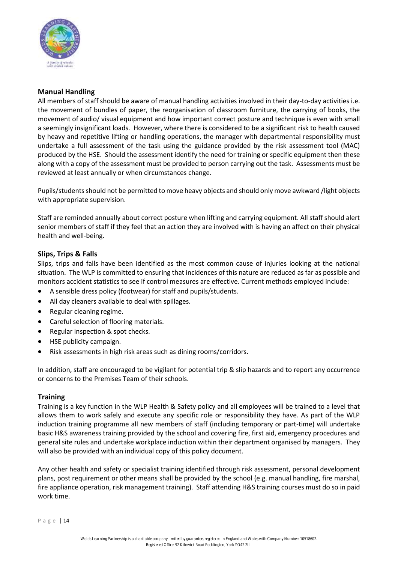

## **Manual Handling**

All members of staff should be aware of manual handling activities involved in their day-to-day activities i.e. the movement of bundles of paper, the reorganisation of classroom furniture, the carrying of books, the movement of audio/ visual equipment and how important correct posture and technique is even with small a seemingly insignificant loads. However, where there is considered to be a significant risk to health caused by heavy and repetitive lifting or handling operations, the manager with departmental responsibility must undertake a full assessment of the task using the guidance provided by the risk assessment tool (MAC) produced by the HSE. Should the assessment identify the need for training or specific equipment then these along with a copy of the assessment must be provided to person carrying out the task. Assessments must be reviewed at least annually or when circumstances change.

Pupils/students should not be permitted to move heavy objects and should only move awkward /light objects with appropriate supervision.

Staff are reminded annually about correct posture when lifting and carrying equipment. All staff should alert senior members of staff if they feel that an action they are involved with is having an affect on their physical health and well-being.

## **Slips, Trips & Falls**

Slips, trips and falls have been identified as the most common cause of injuries looking at the national situation. The WLP is committed to ensuring that incidences of this nature are reduced as far as possible and monitors accident statistics to see if control measures are effective. Current methods employed include:

- A sensible dress policy (footwear) for staff and pupils/students.
- All day cleaners available to deal with spillages.
- Regular cleaning regime.
- Careful selection of flooring materials.
- Regular inspection & spot checks.
- HSE publicity campaign.
- Risk assessments in high risk areas such as dining rooms/corridors.

In addition, staff are encouraged to be vigilant for potential trip & slip hazards and to report any occurrence or concerns to the Premises Team of their schools.

## **Training**

Training is a key function in the WLP Health & Safety policy and all employees will be trained to a level that allows them to work safely and execute any specific role or responsibility they have. As part of the WLP induction training programme all new members of staff (including temporary or part-time) will undertake basic H&S awareness training provided by the school and covering fire, first aid, emergency procedures and general site rules and undertake workplace induction within their department organised by managers. They will also be provided with an individual copy of this policy document.

Any other health and safety or specialist training identified through risk assessment, personal development plans, post requirement or other means shall be provided by the school (e.g. manual handling, fire marshal, fire appliance operation, risk management training). Staff attending H&S training courses must do so in paid work time.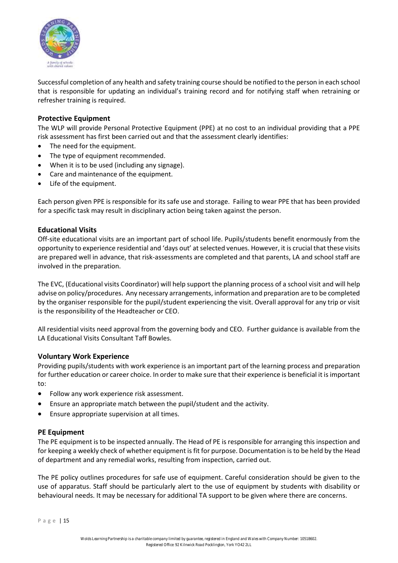

Successful completion of any health and safety training course should be notified to the person in each school that is responsible for updating an individual's training record and for notifying staff when retraining or refresher training is required.

## **Protective Equipment**

The WLP will provide Personal Protective Equipment (PPE) at no cost to an individual providing that a PPE risk assessment has first been carried out and that the assessment clearly identifies:

- The need for the equipment.
- The type of equipment recommended.
- When it is to be used (including any signage).
- Care and maintenance of the equipment.
- Life of the equipment.

Each person given PPE is responsible for its safe use and storage. Failing to wear PPE that has been provided for a specific task may result in disciplinary action being taken against the person.

## **Educational Visits**

Off-site educational visits are an important part of school life. Pupils/students benefit enormously from the opportunity to experience residential and 'days out' at selected venues. However, it is crucial that these visits are prepared well in advance, that risk-assessments are completed and that parents, LA and school staff are involved in the preparation.

The EVC, (Educational visits Coordinator) will help support the planning process of a school visit and will help advise on policy/procedures. Any necessary arrangements, information and preparation are to be completed by the organiser responsible for the pupil/student experiencing the visit. Overall approval for any trip or visit is the responsibility of the Headteacher or CEO.

All residential visits need approval from the governing body and CEO. Further guidance is available from the LA Educational Visits Consultant Taff Bowles.

## **Voluntary Work Experience**

Providing pupils/students with work experience is an important part of the learning process and preparation for further education or career choice. In order to make sure that their experience is beneficial it is important to:

- Follow any work experience risk assessment.
- Ensure an appropriate match between the pupil/student and the activity.
- Ensure appropriate supervision at all times.

## **PE Equipment**

The PE equipment is to be inspected annually. The Head of PE is responsible for arranging this inspection and for keeping a weekly check of whether equipment is fit for purpose. Documentation is to be held by the Head of department and any remedial works, resulting from inspection, carried out.

The PE policy outlines procedures for safe use of equipment. Careful consideration should be given to the use of apparatus. Staff should be particularly alert to the use of equipment by students with disability or behavioural needs. It may be necessary for additional TA support to be given where there are concerns.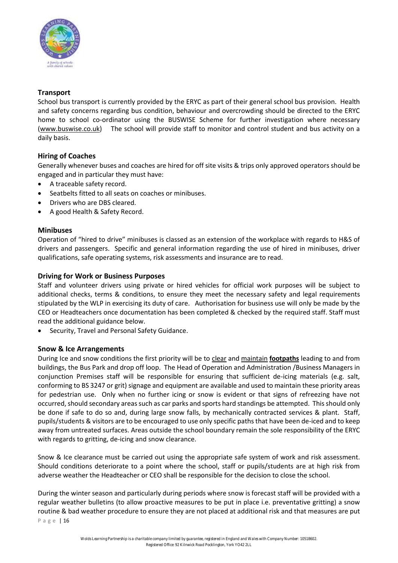

## **Transport**

School bus transport is currently provided by the ERYC as part of their general school bus provision. Health and safety concerns regarding bus condition, behaviour and overcrowding should be directed to the ERYC home to school co-ordinator using the BUSWISE Scheme for further investigation where necessary (www.buswise.co.uk) The school will provide staff to monitor and control student and bus activity on a daily basis.

## **Hiring of Coaches**

Generally whenever buses and coaches are hired for off site visits & trips only approved operators should be engaged and in particular they must have:

- A traceable safety record.
- Seatbelts fitted to all seats on coaches or minibuses.
- Drivers who are DBS cleared.
- A good Health & Safety Record.

## **Minibuses**

Operation of "hired to drive" minibuses is classed as an extension of the workplace with regards to H&S of drivers and passengers. Specific and general information regarding the use of hired in minibuses, driver qualifications, safe operating systems, risk assessments and insurance are to read.

## **Driving for Work or Business Purposes**

Staff and volunteer drivers using private or hired vehicles for official work purposes will be subject to additional checks, terms & conditions, to ensure they meet the necessary safety and legal requirements stipulated by the WLP in exercising its duty of care. Authorisation for business use will only be made by the CEO or Headteachers once documentation has been completed & checked by the required staff. Staff must read the additional guidance below.

• Security, Travel and Personal Safety Guidance.

## **Snow & Ice Arrangements**

During Ice and snow conditions the first priority will be to clear and maintain **footpaths** leading to and from buildings, the Bus Park and drop off loop. The Head of Operation and Administration /Business Managers in conjunction Premises staff will be responsible for ensuring that sufficient de-icing materials (e.g. salt, conforming to BS 3247 or grit) signage and equipment are available and used to maintain these priority areas for pedestrian use. Only when no further icing or snow is evident or that signs of refreezing have not occurred, should secondary areas such as car parks and sports hard standings be attempted. This should only be done if safe to do so and, during large snow falls, by mechanically contracted services & plant. Staff, pupils/students & visitors are to be encouraged to use only specific paths that have been de-iced and to keep away from untreated surfaces. Areas outside the school boundary remain the sole responsibility of the ERYC with regards to gritting, de-icing and snow clearance.

Snow & Ice clearance must be carried out using the appropriate safe system of work and risk assessment. Should conditions deteriorate to a point where the school, staff or pupils/students are at high risk from adverse weather the Headteacher or CEO shall be responsible for the decision to close the school.

During the winter season and particularly during periods where snow is forecast staff will be provided with a regular weather bulletins (to allow proactive measures to be put in place i.e. preventative gritting) a snow routine & bad weather procedure to ensure they are not placed at additional risk and that measures are put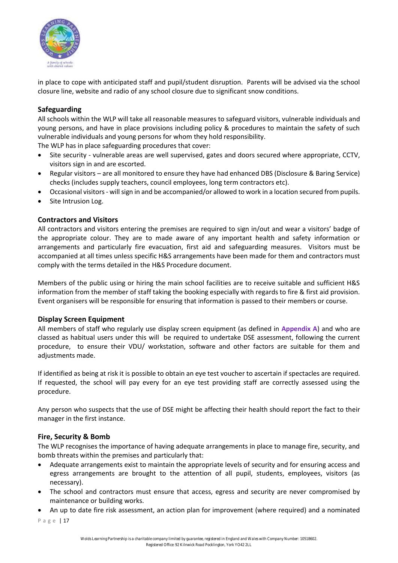

in place to cope with anticipated staff and pupil/student disruption. Parents will be advised via the school closure line, website and radio of any school closure due to significant snow conditions.

## **Safeguarding**

All schools within the WLP will take all reasonable measures to safeguard visitors, vulnerable individuals and young persons, and have in place provisions including policy & procedures to maintain the safety of such vulnerable individuals and young persons for whom they hold responsibility.

The WLP has in place safeguarding procedures that cover:

- Site security vulnerable areas are well supervised, gates and doors secured where appropriate, CCTV, visitors sign in and are escorted.
- Regular visitors are all monitored to ensure they have had enhanced DBS (Disclosure & Baring Service) checks (includes supply teachers, council employees, long term contractors etc).
- Occasional visitors will sign in and be accompanied/or allowed to work in a location secured from pupils.
- Site Intrusion Log.

## **Contractors and Visitors**

All contractors and visitors entering the premises are required to sign in/out and wear a visitors' badge of the appropriate colour. They are to made aware of any important health and safety information or arrangements and particularly fire evacuation, first aid and safeguarding measures. Visitors must be accompanied at all times unless specific H&S arrangements have been made for them and contractors must comply with the terms detailed in the H&S Procedure document.

Members of the public using or hiring the main school facilities are to receive suitable and sufficient H&S information from the member of staff taking the booking especially with regards to fire & first aid provision. Event organisers will be responsible for ensuring that information is passed to their members or course.

## **Display Screen Equipment**

All members of staff who regularly use display screen equipment (as defined in **Appendix A**) and who are classed as habitual users under this will be required to undertake DSE assessment, following the current procedure, to ensure their VDU/ workstation, software and other factors are suitable for them and adjustments made.

If identified as being at risk it is possible to obtain an eye test voucher to ascertain if spectacles are required. If requested, the school will pay every for an eye test providing staff are correctly assessed using the procedure.

Any person who suspects that the use of DSE might be affecting their health should report the fact to their manager in the first instance.

## **Fire, Security & Bomb**

The WLP recognises the importance of having adequate arrangements in place to manage fire, security, and bomb threats within the premises and particularly that:

- Adequate arrangements exist to maintain the appropriate levels of security and for ensuring access and egress arrangements are brought to the attention of all pupil, students, employees, visitors (as necessary).
- The school and contractors must ensure that access, egress and security are never compromised by maintenance or building works.
- An up to date fire risk assessment, an action plan for improvement (where required) and a nominated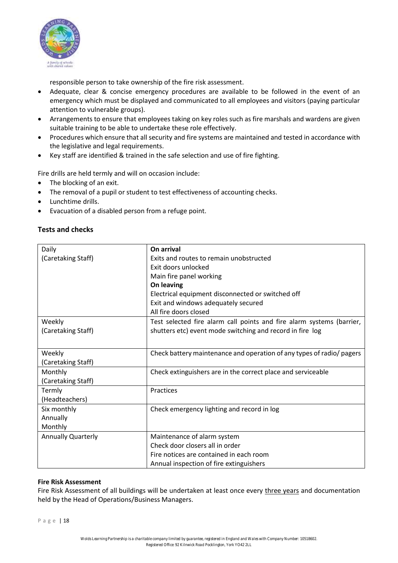

responsible person to take ownership of the fire risk assessment.

- Adequate, clear & concise emergency procedures are available to be followed in the event of an emergency which must be displayed and communicated to all employees and visitors (paying particular attention to vulnerable groups).
- Arrangements to ensure that employees taking on key roles such as fire marshals and wardens are given suitable training to be able to undertake these role effectively.
- Procedures which ensure that all security and fire systems are maintained and tested in accordance with the legislative and legal requirements.
- Key staff are identified & trained in the safe selection and use of fire fighting.

Fire drills are held termly and will on occasion include:

- The blocking of an exit.
- The removal of a pupil or student to test effectiveness of accounting checks.
- Lunchtime drills.
- Evacuation of a disabled person from a refuge point.

## **Tests and checks**

| Daily                     | On arrival                                                            |
|---------------------------|-----------------------------------------------------------------------|
| (Caretaking Staff)        | Exits and routes to remain unobstructed                               |
|                           | Exit doors unlocked                                                   |
|                           |                                                                       |
|                           | Main fire panel working                                               |
|                           | On leaving                                                            |
|                           | Electrical equipment disconnected or switched off                     |
|                           | Exit and windows adequately secured                                   |
|                           | All fire doors closed                                                 |
| Weekly                    | Test selected fire alarm call points and fire alarm systems (barrier, |
| (Caretaking Staff)        | shutters etc) event mode switching and record in fire log             |
|                           |                                                                       |
|                           |                                                                       |
| Weekly                    | Check battery maintenance and operation of any types of radio/ pagers |
| (Caretaking Staff)        |                                                                       |
| Monthly                   | Check extinguishers are in the correct place and serviceable          |
| (Caretaking Staff)        |                                                                       |
| Termly                    | Practices                                                             |
| (Headteachers)            |                                                                       |
| Six monthly               | Check emergency lighting and record in log                            |
| Annually                  |                                                                       |
| Monthly                   |                                                                       |
| <b>Annually Quarterly</b> | Maintenance of alarm system                                           |
|                           | Check door closers all in order                                       |
|                           | Fire notices are contained in each room                               |
|                           | Annual inspection of fire extinguishers                               |

## **Fire Risk Assessment**

Fire Risk Assessment of all buildings will be undertaken at least once every three years and documentation held by the Head of Operations/Business Managers.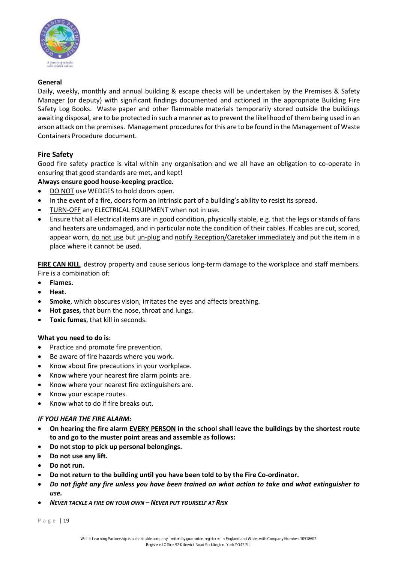

## **General**

Daily, weekly, monthly and annual building & escape checks will be undertaken by the Premises & Safety Manager (or deputy) with significant findings documented and actioned in the appropriate Building Fire Safety Log Books. Waste paper and other flammable materials temporarily stored outside the buildings awaiting disposal, are to be protected in such a manner as to prevent the likelihood of them being used in an arson attack on the premises. Management procedures for this are to be found in the Management of Waste Containers Procedure document.

## **Fire Safety**

Good fire safety practice is vital within any organisation and we all have an obligation to co-operate in ensuring that good standards are met, and kept!

## **Always ensure good house-keeping practice.**

- DO NOT use WEDGES to hold doors open.
- In the event of a fire, doors form an intrinsic part of a building's ability to resist its spread.
- TURN-OFF any ELECTRICAL EQUIPMENT when not in use.
- Ensure that all electrical items are in good condition, physically stable, e.g. that the legs or stands of fans and heaters are undamaged, and in particular note the condition of their cables. If cables are cut, scored, appear worn, do not use but un-plug and notify Reception/Caretaker immediately and put the item in a place where it cannot be used.

**FIRE CAN KILL**, destroy property and cause serious long-term damage to the workplace and staff members. Fire is a combination of:

- **Flames.**
- **Heat.**
- **Smoke**, which obscures vision, irritates the eyes and affects breathing.
- **Hot gases,** that burn the nose, throat and lungs.
- **Toxic fumes**, that kill in seconds.

## **What you need to do is:**

- Practice and promote fire prevention.
- Be aware of fire hazards where you work.
- Know about fire precautions in your workplace.
- Know where your nearest fire alarm points are.
- Know where your nearest fire extinguishers are.
- Know your escape routes.
- Know what to do if fire breaks out.

## *IF YOU HEAR THE FIRE ALARM:*

- **On hearing the fire alarm EVERY PERSON in the school shall leave the buildings by the shortest route to and go to the muster point areas and assemble as follows:**
- **Do not stop to pick up personal belongings.**
- **Do not use any lift.**
- **Do not run.**
- **Do not return to the building until you have been told to by the Fire Co-ordinator.**
- *Do not fight any fire unless you have been trained on what action to take and what extinguisher to use.*
- *NEVER TACKLE A FIRE ON YOUR OWN – NEVER PUT YOURSELF AT RISK*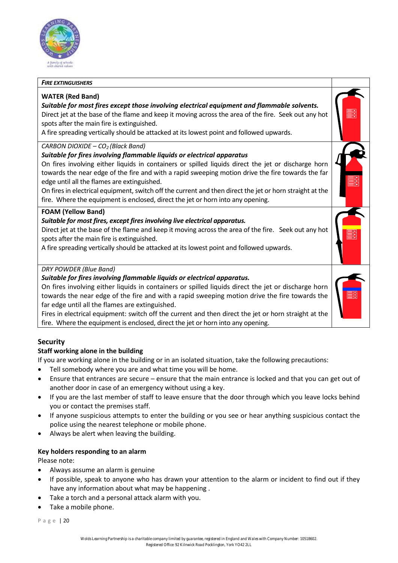

#### *FIRE EXTINGUISHERS*

## **WATER (Red Band)**

#### *Suitable for most fires except those involving electrical equipment and flammable solvents.* Direct jet at the base of the flame and keep it moving across the area of the fire. Seek out any hot

spots after the main fire is extinguished.

A fire spreading vertically should be attacked at its lowest point and followed upwards.

## *CARBON DIOXIDE – CO2 (Black Band)*

## *Suitable for fires involving flammable liquids or electrical apparatus*

On fires involving either liquids in containers or spilled liquids direct the jet or discharge horn towards the near edge of the fire and with a rapid sweeping motion drive the fire towards the far edge until all the flames are extinguished.

On fires in electrical equipment, switch off the current and then direct the jet or horn straight at the fire. Where the equipment is enclosed, direct the jet or horn into any opening.

## **FOAM (Yellow Band)**

## *Suitable for most fires, except fires involving live electrical apparatus.*

Direct jet at the base of the flame and keep it moving across the area of the fire. Seek out any hot spots after the main fire is extinguished.

A fire spreading vertically should be attacked at its lowest point and followed upwards.

## *DRY POWDER (Blue Band)*

## *Suitable for fires involving flammable liquids or electrical apparatus.*

On fires involving either liquids in containers or spilled liquids direct the jet or discharge horn towards the near edge of the fire and with a rapid sweeping motion drive the fire towards the far edge until all the flames are extinguished.

Fires in electrical equipment: switch off the current and then direct the jet or horn straight at the fire. Where the equipment is enclosed, direct the jet or horn into any opening.

## **Security**

## **Staff working alone in the building**

If you are working alone in the building or in an isolated situation, take the following precautions:

- Tell somebody where you are and what time you will be home.
- Ensure that entrances are secure ensure that the main entrance is locked and that you can get out of another door in case of an emergency without using a key.
- If you are the last member of staff to leave ensure that the door through which you leave locks behind you or contact the premises staff.
- If anyone suspicious attempts to enter the building or you see or hear anything suspicious contact the police using the nearest telephone or mobile phone.
- Always be alert when leaving the building.

## **Key holders responding to an alarm**

Please note:

- Always assume an alarm is genuine
- If possible, speak to anyone who has drawn your attention to the alarm or incident to find out if they have any information about what may be happening .
- Take a torch and a personal attack alarm with you.
- Take a mobile phone.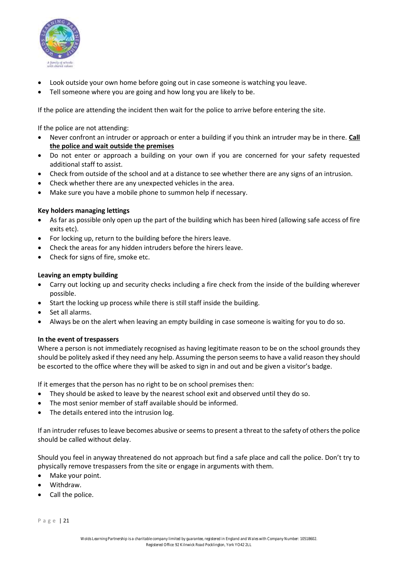

- Look outside your own home before going out in case someone is watching you leave.
- Tell someone where you are going and how long you are likely to be.

If the police are attending the incident then wait for the police to arrive before entering the site.

If the police are not attending:

- Never confront an intruder or approach or enter a building if you think an intruder may be in there. **Call the police and wait outside the premises**
- Do not enter or approach a building on your own if you are concerned for your safety requested additional staff to assist.
- Check from outside of the school and at a distance to see whether there are any signs of an intrusion.
- Check whether there are any unexpected vehicles in the area.
- Make sure you have a mobile phone to summon help if necessary.

## **Key holders managing lettings**

- As far as possible only open up the part of the building which has been hired (allowing safe access of fire exits etc).
- For locking up, return to the building before the hirers leave.
- Check the areas for any hidden intruders before the hirers leave.
- Check for signs of fire, smoke etc.

## **Leaving an empty building**

- Carry out locking up and security checks including a fire check from the inside of the building wherever possible.
- Start the locking up process while there is still staff inside the building.
- Set all alarms.
- Always be on the alert when leaving an empty building in case someone is waiting for you to do so.

## **In the event of trespassers**

Where a person is not immediately recognised as having legitimate reason to be on the school grounds they should be politely asked if they need any help. Assuming the person seems to have a valid reason they should be escorted to the office where they will be asked to sign in and out and be given a visitor's badge.

If it emerges that the person has no right to be on school premises then:

- They should be asked to leave by the nearest school exit and observed until they do so.
- The most senior member of staff available should be informed.
- The details entered into the intrusion log.

If an intruder refuses to leave becomes abusive or seems to present a threat to the safety of others the police should be called without delay.

Should you feel in anyway threatened do not approach but find a safe place and call the police. Don't try to physically remove trespassers from the site or engage in arguments with them.

- Make your point.
- Withdraw.
- Call the police.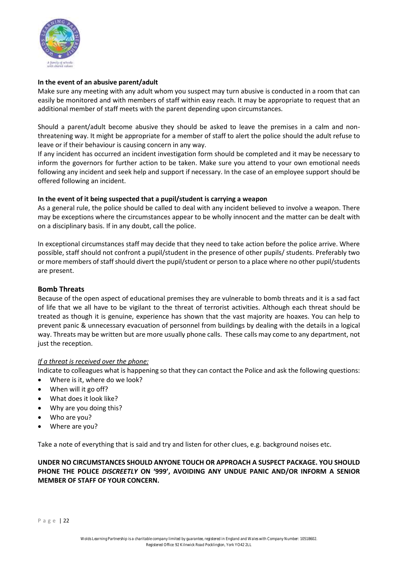

## **In the event of an abusive parent/adult**

Make sure any meeting with any adult whom you suspect may turn abusive is conducted in a room that can easily be monitored and with members of staff within easy reach. It may be appropriate to request that an additional member of staff meets with the parent depending upon circumstances.

Should a parent/adult become abusive they should be asked to leave the premises in a calm and nonthreatening way. It might be appropriate for a member of staff to alert the police should the adult refuse to leave or if their behaviour is causing concern in any way.

If any incident has occurred an incident investigation form should be completed and it may be necessary to inform the governors for further action to be taken. Make sure you attend to your own emotional needs following any incident and seek help and support if necessary. In the case of an employee support should be offered following an incident.

## **In the event of it being suspected that a pupil/student is carrying a weapon**

As a general rule, the police should be called to deal with any incident believed to involve a weapon. There may be exceptions where the circumstances appear to be wholly innocent and the matter can be dealt with on a disciplinary basis. If in any doubt, call the police.

In exceptional circumstances staff may decide that they need to take action before the police arrive. Where possible, staff should not confront a pupil/student in the presence of other pupils/ students. Preferably two or more members of staff should divert the pupil/student or person to a place where no other pupil/students are present.

## **Bomb Threats**

Because of the open aspect of educational premises they are vulnerable to bomb threats and it is a sad fact of life that we all have to be vigilant to the threat of terrorist activities. Although each threat should be treated as though it is genuine, experience has shown that the vast majority are hoaxes. You can help to prevent panic & unnecessary evacuation of personnel from buildings by dealing with the details in a logical way. Threats may be written but are more usually phone calls. These calls may come to any department, not just the reception.

## *If a threat is received over the phone:*

Indicate to colleagues what is happening so that they can contact the Police and ask the following questions:

- Where is it, where do we look?
- When will it go off?
- What does it look like?
- Why are you doing this?
- Who are you?
- Where are you?

Take a note of everything that is said and try and listen for other clues, e.g. background noises etc.

## **UNDER NO CIRCUMSTANCES SHOULD ANYONE TOUCH OR APPROACH A SUSPECT PACKAGE. YOU SHOULD PHONE THE POLICE** *DISCREETLY* **ON '999', AVOIDING ANY UNDUE PANIC AND/OR INFORM A SENIOR MEMBER OF STAFF OF YOUR CONCERN.**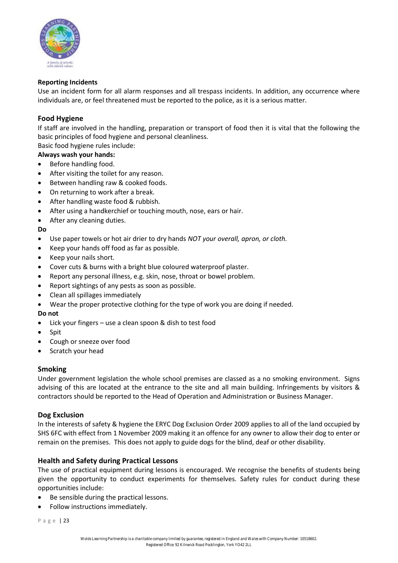

## **Reporting Incidents**

Use an incident form for all alarm responses and all trespass incidents. In addition, any occurrence where individuals are, or feel threatened must be reported to the police, as it is a serious matter.

## **Food Hygiene**

If staff are involved in the handling, preparation or transport of food then it is vital that the following the basic principles of food hygiene and personal cleanliness.

Basic food hygiene rules include:

## **Always wash your hands:**

- Before handling food.
- After visiting the toilet for any reason.
- Between handling raw & cooked foods.
- On returning to work after a break.
- After handling waste food & rubbish.
- After using a handkerchief or touching mouth, nose, ears or hair.
- After any cleaning duties.

## **Do**

- Use paper towels or hot air drier to dry hands *NOT your overall, apron, or cloth.*
- Keep your hands off food as far as possible.
- Keep your nails short.
- Cover cuts & burns with a bright blue coloured waterproof plaster.
- Report any personal illness, e.g. skin, nose, throat or bowel problem.
- Report sightings of any pests as soon as possible.
- Clean all spillages immediately
- Wear the proper protective clothing for the type of work you are doing if needed.

## **Do not**

- Lick your fingers use a clean spoon & dish to test food
- Spit
- Cough or sneeze over food
- Scratch your head

## **Smoking**

Under government legislation the whole school premises are classed as a no smoking environment. Signs advising of this are located at the entrance to the site and all main building. Infringements by visitors & contractors should be reported to the Head of Operation and Administration or Business Manager.

## **Dog Exclusion**

In the interests of safety & hygiene the ERYC Dog Exclusion Order 2009 applies to all of the land occupied by SHS 6FC with effect from 1 November 2009 making it an offence for any owner to allow their dog to enter or remain on the premises. This does not apply to guide dogs for the blind, deaf or other disability.

## **Health and Safety during Practical Lessons**

The use of practical equipment during lessons is encouraged. We recognise the benefits of students being given the opportunity to conduct experiments for themselves. Safety rules for conduct during these opportunities include:

- Be sensible during the practical lessons.
- Follow instructions immediately.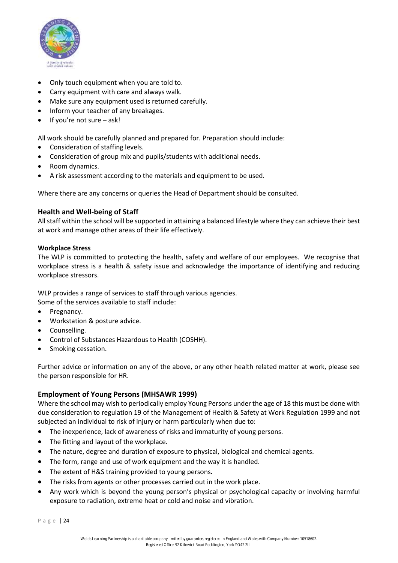

- Only touch equipment when you are told to.
- Carry equipment with care and always walk.
- Make sure any equipment used is returned carefully.
- Inform your teacher of any breakages.
- If you're not sure ask!

All work should be carefully planned and prepared for. Preparation should include:

- Consideration of staffing levels.
- Consideration of group mix and pupils/students with additional needs.
- Room dynamics.
- A risk assessment according to the materials and equipment to be used.

Where there are any concerns or queries the Head of Department should be consulted.

## **Health and Well-being of Staff**

All staff within the school will be supported in attaining a balanced lifestyle where they can achieve their best at work and manage other areas of their life effectively.

## **Workplace Stress**

The WLP is committed to protecting the health, safety and welfare of our employees. We recognise that workplace stress is a health & safety issue and acknowledge the importance of identifying and reducing workplace stressors.

WLP provides a range of services to staff through various agencies. Some of the services available to staff include:

- Pregnancy.
- Workstation & posture advice.
- Counselling.
- Control of Substances Hazardous to Health (COSHH).
- Smoking cessation.

Further advice or information on any of the above, or any other health related matter at work, please see the person responsible for HR.

## **Employment of Young Persons (MHSAWR 1999)**

Where the school may wish to periodically employ Young Persons under the age of 18 this must be done with due consideration to regulation 19 of the Management of Health & Safety at Work Regulation 1999 and not subjected an individual to risk of injury or harm particularly when due to:

- The inexperience, lack of awareness of risks and immaturity of young persons.
- The fitting and layout of the workplace.
- The nature, degree and duration of exposure to physical, biological and chemical agents.
- The form, range and use of work equipment and the way it is handled.
- The extent of H&S training provided to young persons.
- The risks from agents or other processes carried out in the work place.
- Any work which is beyond the young person's physical or psychological capacity or involving harmful exposure to radiation, extreme heat or cold and noise and vibration.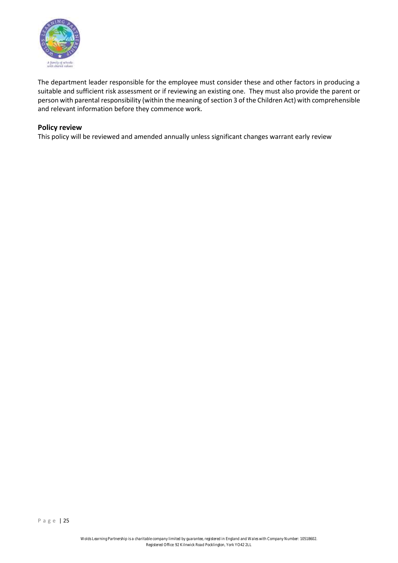

The department leader responsible for the employee must consider these and other factors in producing a suitable and sufficient risk assessment or if reviewing an existing one. They must also provide the parent or person with parental responsibility (within the meaning of section 3 of the Children Act) with comprehensible and relevant information before they commence work.

## **Policy review**

This policy will be reviewed and amended annually unless significant changes warrant early review